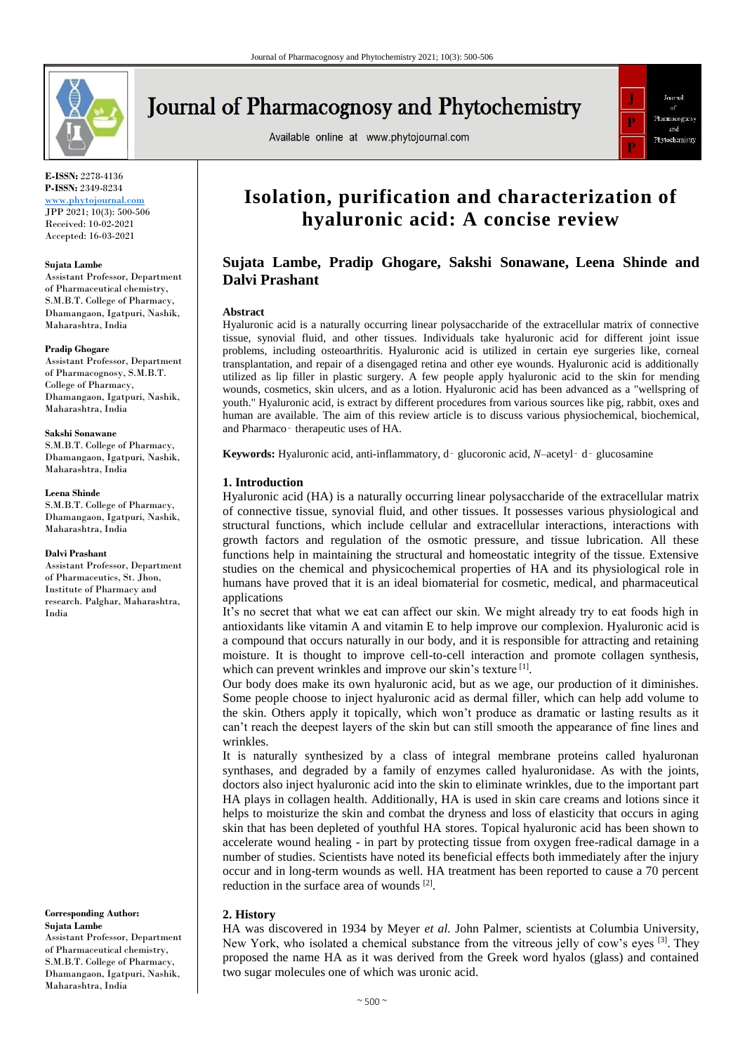

# **Journal of Pharmacognosy and Phytochemistry**

Available online at www.phytojournal.com



**E-ISSN:** 2278-4136 **P-ISSN:** 2349-8234

[www.phytojournal.com](http://www.phytojournal.com/) JPP 2021; 10(3): 500-506 Received: 10-02-2021 Accepted: 16-03-2021

#### **Sujata Lambe**

Assistant Professor, Department of Pharmaceutical chemistry, S.M.B.T. College of Pharmacy, Dhamangaon, Igatpuri, Nashik, Maharashtra, India

#### **Pradip Ghogare**

Assistant Professor, Department of Pharmacognosy, S.M.B.T. College of Pharmacy, Dhamangaon, Igatpuri, Nashik, Maharashtra, India

**Sakshi Sonawane**

S.M.B.T. College of Pharmacy, Dhamangaon, Igatpuri, Nashik, Maharashtra, India

#### **Leena Shinde**

S.M.B.T. College of Pharmacy, Dhamangaon, Igatpuri, Nashik, Maharashtra, India

#### **Dalvi Prashant**

Assistant Professor, Department of Pharmaceutics, St. Jhon, Institute of Pharmacy and research. Palghar, Maharashtra, India

**Corresponding Author: Sujata Lambe** Assistant Professor, Department of Pharmaceutical chemistry, S.M.B.T. College of Pharmacy, Dhamangaon, Igatpuri, Nashik, Maharashtra, India

## **Isolation, purification and characterization of hyaluronic acid: A concise review**

## **Sujata Lambe, Pradip Ghogare, Sakshi Sonawane, Leena Shinde and Dalvi Prashant**

#### **Abstract**

Hyaluronic acid is a naturally occurring linear polysaccharide of the extracellular matrix of connective tissue, synovial fluid, and other tissues. Individuals take hyaluronic acid for different joint issue problems, including osteoarthritis. Hyaluronic acid is utilized in certain eye surgeries like, corneal transplantation, and repair of a disengaged retina and other eye wounds. Hyaluronic acid is additionally utilized as lip filler in plastic surgery. A few people apply hyaluronic acid to the skin for mending wounds, cosmetics, skin ulcers, and as a lotion. Hyaluronic acid has been advanced as a "wellspring of youth." Hyaluronic acid, is extract by different procedures from various sources like pig, rabbit, oxes and human are available. The aim of this review article is to discuss various physiochemical, biochemical, and Pharmaco‑ therapeutic uses of HA.

**Keywords:** Hyaluronic acid, anti-inflammatory, d‑ glucoronic acid, *N*–acetyl‑ d‑ glucosamine

#### **1. Introduction**

Hyaluronic acid (HA) is a naturally occurring linear polysaccharide of the extracellular matrix of connective tissue, synovial fluid, and other tissues. It possesses various physiological and structural functions, which include cellular and extracellular interactions, interactions with growth factors and regulation of the osmotic pressure, and tissue lubrication. All these functions help in maintaining the structural and homeostatic integrity of the tissue. Extensive studies on the chemical and physicochemical properties of HA and its physiological role in humans have proved that it is an ideal biomaterial for cosmetic, medical, and pharmaceutical applications

It's no secret that what we eat can affect our skin. We might already try to eat foods high in antioxidants like vitamin A and vitamin E to help improve our complexion. Hyaluronic acid is a compound that occurs naturally in our body, and it is responsible for attracting and retaining moisture. It is thought to improve cell-to-cell interaction and promote collagen synthesis, which can prevent wrinkles and improve our skin's texture<sup>[1]</sup>.

Our body does make its own hyaluronic acid, but as we age, our production of it diminishes. Some people choose to inject hyaluronic acid as dermal filler, which can help add volume to the skin. Others apply it topically, which won't produce as dramatic or lasting results as it can't reach the deepest layers of the skin but can still smooth the appearance of fine lines and wrinkles.

It is naturally synthesized by a class of integral membrane proteins called hyaluronan synthases, and degraded by a family of enzymes called hyaluronidase. As with the joints, doctors also inject hyaluronic acid into the skin to eliminate wrinkles, due to the important part HA plays in collagen health. Additionally, HA is used in skin care creams and lotions since it helps to moisturize the skin and combat the dryness and loss of elasticity that occurs in aging skin that has been depleted of youthful HA stores. Topical hyaluronic acid has been shown to accelerate wound healing - in part by protecting tissue from oxygen free-radical damage in a number of studies. Scientists have noted its beneficial effects both immediately after the injury occur and in long-term wounds as well. HA treatment has been reported to cause a 70 percent reduction in the surface area of wounds [2].

## **2. History**

HA was discovered in 1934 by Meyer *et al.* John Palmer, scientists at Columbia University, New York, who isolated a chemical substance from the vitreous jelly of cow's eyes <sup>[3]</sup>. They proposed the name HA as it was derived from the Greek word hyalos (glass) and contained two sugar molecules one of which was uronic acid.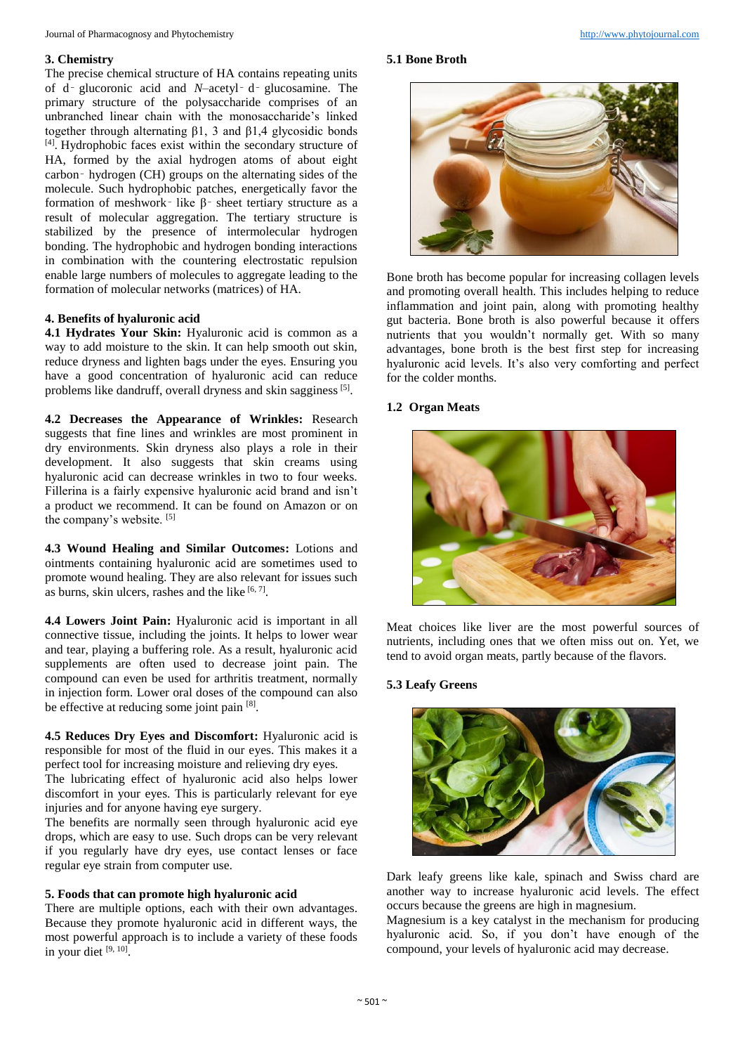#### Journal of Pharmacognosy and Phytochemistry [http://www.phytojournal.com](http://www.phytojournal.com/)

## **3. Chemistry**

The precise chemical structure of HA contains repeating units of d‑ glucoronic acid and *N*–acetyl‑ d‑ glucosamine. The primary structure of the polysaccharide comprises of an unbranched linear chain with the monosaccharide's linked together through alternating β1, 3 and β1,4 glycosidic bonds [4] . Hydrophobic faces exist within the secondary structure of HA, formed by the axial hydrogen atoms of about eight carbon‑ hydrogen (CH) groups on the alternating sides of the molecule. Such hydrophobic patches, energetically favor the formation of meshwork‑ like β‑ sheet tertiary structure as a result of molecular aggregation. The tertiary structure is stabilized by the presence of intermolecular hydrogen bonding. The hydrophobic and hydrogen bonding interactions in combination with the countering electrostatic repulsion enable large numbers of molecules to aggregate leading to the formation of molecular networks (matrices) of HA.

## **4. Benefits of hyaluronic acid**

**4.1 Hydrates Your Skin:** Hyaluronic acid is common as a way to add moisture to the skin. It can help smooth out skin, reduce dryness and lighten bags under the eyes. Ensuring you have a good concentration of hyaluronic acid can reduce problems like dandruff, overall dryness and skin sagginess [5].

**4.2 Decreases the Appearance of Wrinkles:** Research suggests that fine lines and wrinkles are most prominent in dry environments. Skin dryness also plays a role in their development. It also suggests that skin creams using hyaluronic acid can decrease wrinkles in two to four weeks. Fillerina is a fairly expensive hyaluronic acid brand and isn't a product we recommend. It can be found on Amazon or on the company's website. [5]

**4.3 Wound Healing and Similar Outcomes:** Lotions and ointments containing hyaluronic acid are sometimes used to promote wound healing. They are also relevant for issues such as burns, skin ulcers, rashes and the like  $[6, 7]$ .

**4.4 Lowers Joint Pain:** Hyaluronic acid is important in all connective tissue, including the joints. It helps to lower wear and tear, playing a buffering role. As a result, hyaluronic acid supplements are often used to decrease joint pain. The compound can even be used for arthritis treatment, normally in injection form. Lower oral doses of the compound can also be effective at reducing some joint pain [8].

**4.5 Reduces Dry Eyes and Discomfort:** Hyaluronic acid is responsible for most of the fluid in our eyes. This makes it a perfect tool for increasing moisture and relieving dry eyes.

The lubricating effect of hyaluronic acid also helps lower discomfort in your eyes. This is particularly relevant for eye injuries and for anyone having eye surgery.

The benefits are normally seen through hyaluronic acid eye drops, which are easy to use. Such drops can be very relevant if you regularly have dry eyes, use contact lenses or face regular eye strain from computer use.

#### **5. Foods that can promote high hyaluronic acid**

There are multiple options, each with their own advantages. Because they promote hyaluronic acid in different ways, the most powerful approach is to include a variety of these foods in your diet [9, 10].

## **5.1 Bone Broth**



Bone broth has become popular for increasing collagen levels and promoting overall health. This includes helping to reduce inflammation and joint pain, along with promoting healthy gut bacteria. Bone broth is also powerful because it offers nutrients that you wouldn't normally get. With so many advantages, bone broth is the best first step for increasing hyaluronic acid levels. It's also very comforting and perfect for the colder months.

## **1.2 Organ Meats**



Meat choices like liver are the most powerful sources of nutrients, including ones that we often miss out on. Yet, we tend to avoid organ meats, partly because of the flavors.

## **5.3 Leafy Greens**



Dark leafy greens like kale, spinach and Swiss chard are another way to increase hyaluronic acid levels. The effect occurs because the greens are high in magnesium.

Magnesium is a key catalyst in the mechanism for producing hyaluronic acid. So, if you don't have enough of the compound, your levels of hyaluronic acid may decrease.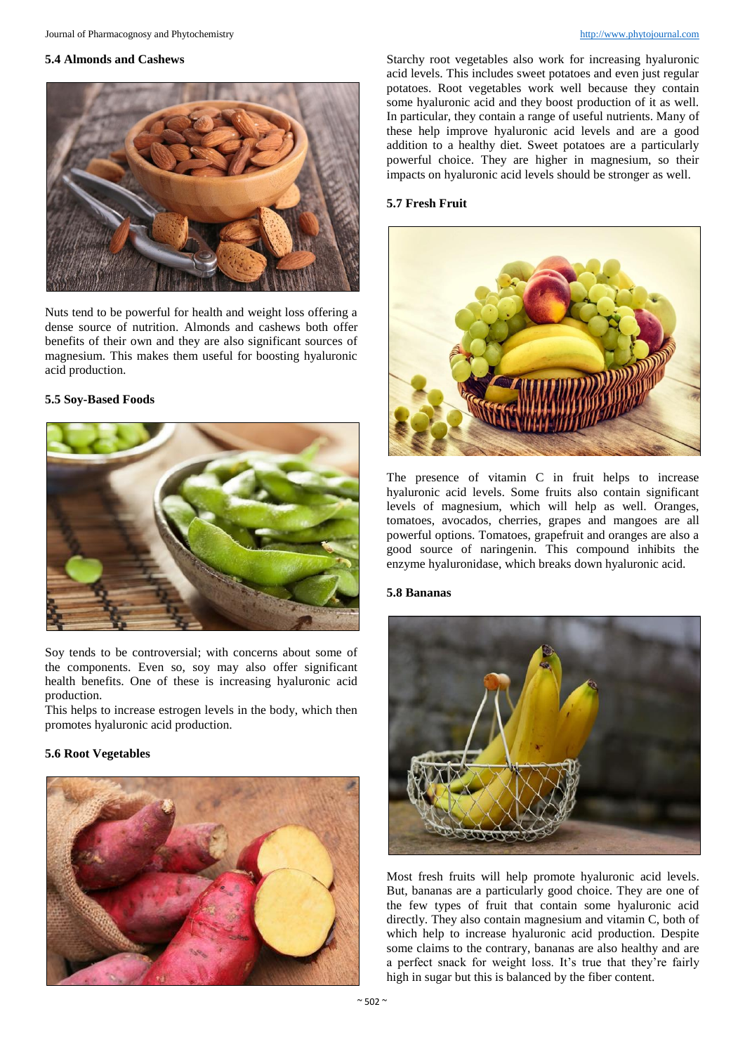## **5.4 Almonds and Cashews**



Nuts tend to be powerful for health and weight loss offering a dense source of nutrition. Almonds and cashews both offer benefits of their own and they are also significant sources of magnesium. This makes them useful for boosting hyaluronic acid production.

## **5.5 Soy-Based Foods**



Soy tends to be controversial; with concerns about some of the components. Even so, soy may also offer significant health benefits. One of these is increasing hyaluronic acid production.

This helps to increase estrogen levels in the body, which then promotes hyaluronic acid production.

## **5.6 Root Vegetables**



Starchy root vegetables also work for increasing hyaluronic acid levels. This includes sweet potatoes and even just regular potatoes. Root vegetables work well because they contain some hyaluronic acid and they boost production of it as well. In particular, they contain a range of useful nutrients. Many of these help improve hyaluronic acid levels and are a good addition to a healthy diet. Sweet potatoes are a particularly powerful choice. They are higher in magnesium, so their impacts on hyaluronic acid levels should be stronger as well.

## **5.7 Fresh Fruit**



The presence of vitamin C in fruit helps to increase hyaluronic acid levels. Some fruits also contain significant levels of magnesium, which will help as well. Oranges, tomatoes, avocados, cherries, grapes and mangoes are all powerful options. Tomatoes, grapefruit and oranges are also a good source of naringenin. This compound inhibits the enzyme hyaluronidase, which breaks down hyaluronic acid.

#### **5.8 Bananas**



Most fresh fruits will help promote hyaluronic acid levels. But, bananas are a particularly good choice. They are one of the few types of fruit that contain some hyaluronic acid directly. They also contain magnesium and vitamin C, both of which help to increase hyaluronic acid production. Despite some claims to the contrary, bananas are also healthy and are a perfect snack for weight loss. It's true that they're fairly high in sugar but this is balanced by the fiber content.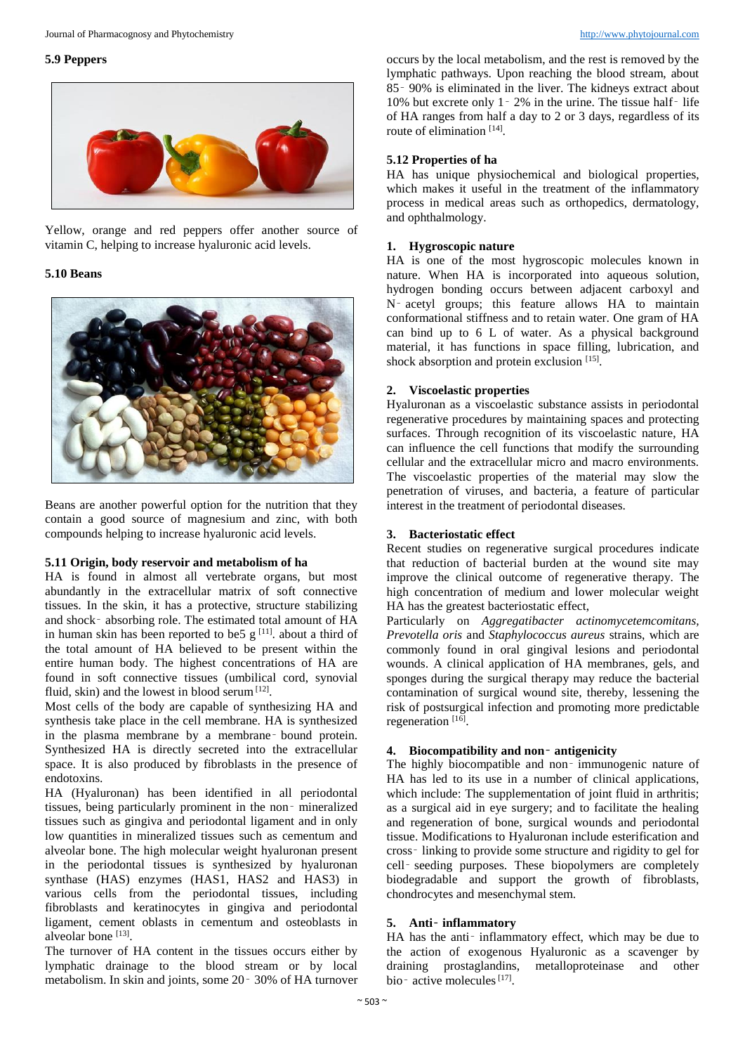## **5.9 Peppers**



Yellow, orange and red peppers offer another source of vitamin C, helping to increase hyaluronic acid levels.

## **5.10 Beans**



Beans are another powerful option for the nutrition that they contain a good source of magnesium and zinc, with both compounds helping to increase hyaluronic acid levels.

## **5.11 Origin, body reservoir and metabolism of ha**

HA is found in almost all vertebrate organs, but most abundantly in the extracellular matrix of soft connective tissues. In the skin, it has a protective, structure stabilizing and shock‑ absorbing role. The estimated total amount of HA in human skin has been reported to be5  $g<sup>[11]</sup>$ . about a third of the total amount of HA believed to be present within the entire human body. The highest concentrations of HA are found in soft connective tissues (umbilical cord, synovial fluid, skin) and the lowest in blood serum<sup>[12]</sup>.

Most cells of the body are capable of synthesizing HA and synthesis take place in the cell membrane. HA is synthesized in the plasma membrane by a membrane‑ bound protein. Synthesized HA is directly secreted into the extracellular space. It is also produced by fibroblasts in the presence of endotoxins.

HA (Hyaluronan) has been identified in all periodontal tissues, being particularly prominent in the non‑ mineralized tissues such as gingiva and periodontal ligament and in only low quantities in mineralized tissues such as cementum and alveolar bone. The high molecular weight hyaluronan present in the periodontal tissues is synthesized by hyaluronan synthase (HAS) enzymes (HAS1, HAS2 and HAS3) in various cells from the periodontal tissues, including fibroblasts and keratinocytes in gingiva and periodontal ligament, cement oblasts in cementum and osteoblasts in alveolar bone [13].

The turnover of HA content in the tissues occurs either by lymphatic drainage to the blood stream or by local metabolism. In skin and joints, some 20‑ 30% of HA turnover occurs by the local metabolism, and the rest is removed by the lymphatic pathways. Upon reaching the blood stream, about 85‑ 90% is eliminated in the liver. The kidneys extract about 10% but excrete only 1‑ 2% in the urine. The tissue half‑ life of HA ranges from half a day to 2 or 3 days, regardless of its route of elimination [14].

## **5.12 Properties of ha**

HA has unique physiochemical and biological properties, which makes it useful in the treatment of the inflammatory process in medical areas such as orthopedics, dermatology, and ophthalmology.

## **1. Hygroscopic nature**

HA is one of the most hygroscopic molecules known in nature. When HA is incorporated into aqueous solution, hydrogen bonding occurs between adjacent carboxyl and N‑ acetyl groups; this feature allows HA to maintain conformational stiffness and to retain water. One gram of HA can bind up to 6 L of water. As a physical background material, it has functions in space filling, lubrication, and shock absorption and protein exclusion [15].

## **2. Viscoelastic properties**

Hyaluronan as a viscoelastic substance assists in periodontal regenerative procedures by maintaining spaces and protecting surfaces. Through recognition of its viscoelastic nature, HA can influence the cell functions that modify the surrounding cellular and the extracellular micro and macro environments. The viscoelastic properties of the material may slow the penetration of viruses, and bacteria, a feature of particular interest in the treatment of periodontal diseases.

## **3. Bacteriostatic effect**

Recent studies on regenerative surgical procedures indicate that reduction of bacterial burden at the wound site may improve the clinical outcome of regenerative therapy. The high concentration of medium and lower molecular weight HA has the greatest bacteriostatic effect,

Particularly on *Aggregatibacter actinomycetemcomitans, Prevotella oris* and *Staphylococcus aureus* strains, which are commonly found in oral gingival lesions and periodontal wounds. A clinical application of HA membranes, gels, and sponges during the surgical therapy may reduce the bacterial contamination of surgical wound site, thereby, lessening the risk of postsurgical infection and promoting more predictable regeneration<sup>[16]</sup>.

## **4. Biocompatibility and non**‑ **antigenicity**

The highly biocompatible and non-immunogenic nature of HA has led to its use in a number of clinical applications, which include: The supplementation of joint fluid in arthritis; as a surgical aid in eye surgery; and to facilitate the healing and regeneration of bone, surgical wounds and periodontal tissue. Modifications to Hyaluronan include esterification and cross‑ linking to provide some structure and rigidity to gel for cell‑ seeding purposes. These biopolymers are completely biodegradable and support the growth of fibroblasts, chondrocytes and mesenchymal stem.

## **5. Anti**‑ **inflammatory**

HA has the anti-inflammatory effect, which may be due to the action of exogenous Hyaluronic as a scavenger by draining prostaglandins, metalloproteinase and other bio-active molecules<sup>[17]</sup>.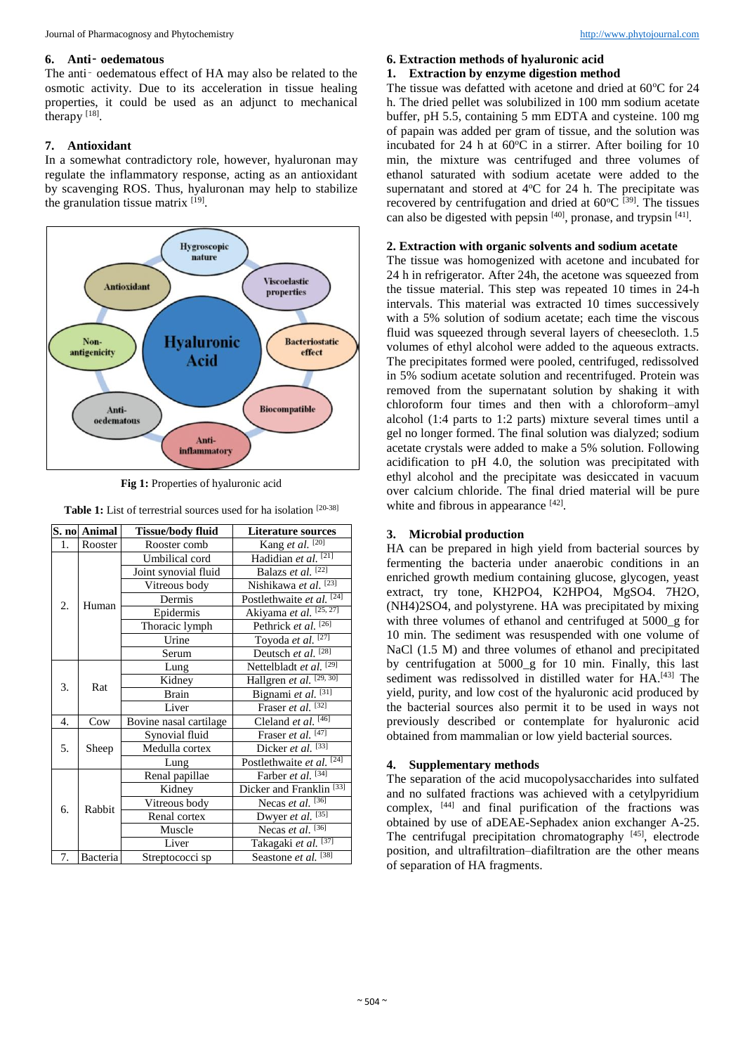#### **6. Anti**‑ **oedematous**

The anti- oedematous effect of HA may also be related to the osmotic activity. Due to its acceleration in tissue healing properties, it could be used as an adjunct to mechanical therapy  $^{[18]}$ .

## **7. Antioxidant**

In a somewhat contradictory role, however, hyaluronan may regulate the inflammatory response, acting as an antioxidant by scavenging ROS. Thus, hyaluronan may help to stabilize the granulation tissue matrix  $[19]$ .



**Fig 1:** Properties of hyaluronic acid

| <b>Table 1:</b> List of terrestrial sources used for ha isolation $[20-38]$ |  |  |  |  |
|-----------------------------------------------------------------------------|--|--|--|--|
|                                                                             |  |  |  |  |

|    | S. no Animal | <b>Tissue/body fluid</b> | <b>Literature sources</b>             |  |  |
|----|--------------|--------------------------|---------------------------------------|--|--|
| 1. | Rooster      | Rooster comb             | Kang et al. $\boxed{[20]}$            |  |  |
|    |              | Umbilical cord           | Hadidian et al. <sup>[21]</sup>       |  |  |
|    | Human        | Joint synovial fluid     | Balazs et al. [22]                    |  |  |
|    |              | Vitreous body            | Nishikawa et al. [23]                 |  |  |
| 2. |              | Dermis                   | Postlethwaite et al. [24]             |  |  |
|    |              | Epidermis                | Akiyama et al. [25, 27]               |  |  |
|    |              | Thoracic lymph           | Pethrick et al. <sup>[26]</sup>       |  |  |
|    |              | Urine                    | Toyoda et al. <sup>[27]</sup>         |  |  |
|    |              | Serum                    | Deutsch et al. <sup>[28]</sup>        |  |  |
|    | Rat          | Lung                     | Nettelbladt et al. <sup>[29]</sup>    |  |  |
| 3. |              | Kidney                   | Hallgren et $aI.$ <sup>[29, 30]</sup> |  |  |
|    |              | <b>Brain</b>             | Bignami et al. <sup>[31]</sup>        |  |  |
|    |              | Liver                    | Fraser et al. $[32]$                  |  |  |
| 4. | Cow          | Bovine nasal cartilage   | Cleland et al. $\overline{^{[46]}}$   |  |  |
| 5. | Sheep        | Synovial fluid           | Fraser et al. $[47]$                  |  |  |
|    |              | Medulla cortex           | Dicker et al. $\overline{^{[33]}}$    |  |  |
|    |              | Lung                     | Postlethwaite et al. $[24]$           |  |  |
| б. |              | Renal papillae           | Farber et al. <sup>[34]</sup>         |  |  |
|    | Rabbit       | Kidney                   | Dicker and Franklin <sup>[33]</sup>   |  |  |
|    |              | Vitreous body            | Necas et al. $^{[36]}$                |  |  |
|    |              | Renal cortex             | Dwyer et al. $^{[35]}$                |  |  |
|    |              | Muscle                   | Necas et al. $\overline{^{36}}$       |  |  |
|    |              | Liver                    | Takagaki et al. [37]                  |  |  |
| 7. | Bacteria     | Streptococci sp          | Seastone et al. [38]                  |  |  |

## **6. Extraction methods of hyaluronic acid**

## **1. Extraction by enzyme digestion method**

The tissue was defatted with acetone and dried at  $60^{\circ}$ C for 24 h. The dried pellet was solubilized in 100 mm sodium acetate buffer, pH 5.5, containing 5 mm EDTA and cysteine. 100 mg of papain was added per gram of tissue, and the solution was incubated for 24 h at  $60^{\circ}$ C in a stirrer. After boiling for 10 min, the mixture was centrifuged and three volumes of ethanol saturated with sodium acetate were added to the supernatant and stored at  $4^{\circ}$ C for 24 h. The precipitate was recovered by centrifugation and dried at  $60^{\circ}C^{39}$ . The tissues can also be digested with pepsin [40], pronase, and trypsin [41].

## **2. Extraction with organic solvents and sodium acetate**

The tissue was homogenized with acetone and incubated for 24 h in refrigerator. After 24h, the acetone was squeezed from the tissue material. This step was repeated 10 times in 24-h intervals. This material was extracted 10 times successively with a 5% solution of sodium acetate; each time the viscous fluid was squeezed through several layers of cheesecloth. 1.5 volumes of ethyl alcohol were added to the aqueous extracts. The precipitates formed were pooled, centrifuged, redissolved in 5% sodium acetate solution and recentrifuged. Protein was removed from the supernatant solution by shaking it with chloroform four times and then with a chloroform–amyl alcohol (1:4 parts to 1:2 parts) mixture several times until a gel no longer formed. The final solution was dialyzed; sodium acetate crystals were added to make a 5% solution. Following acidification to pH 4.0, the solution was precipitated with ethyl alcohol and the precipitate was desiccated in vacuum over calcium chloride. The final dried material will be pure white and fibrous in appearance [42].

## **3. Microbial production**

HA can be prepared in high yield from bacterial sources by fermenting the bacteria under anaerobic conditions in an enriched growth medium containing glucose, glycogen, yeast extract, try tone, KH2PO4, K2HPO4, MgSO4. 7H2O, (NH4)2SO4, and polystyrene. HA was precipitated by mixing with three volumes of ethanol and centrifuged at 5000\_g for 10 min. The sediment was resuspended with one volume of NaCl (1.5 M) and three volumes of ethanol and precipitated by centrifugation at 5000\_g for 10 min. Finally, this last sediment was redissolved in distilled water for HA.<sup>[43]</sup> The yield, purity, and low cost of the hyaluronic acid produced by the bacterial sources also permit it to be used in ways not previously described or contemplate for hyaluronic acid obtained from mammalian or low yield bacterial sources.

## **4. Supplementary methods**

The separation of the acid mucopolysaccharides into sulfated and no sulfated fractions was achieved with a cetylpyridium complex, [44] and final purification of the fractions was obtained by use of aDEAE-Sephadex anion exchanger A-25. The centrifugal precipitation chromatography  $[45]$ , electrode position, and ultrafiltration–diafiltration are the other means of separation of HA fragments.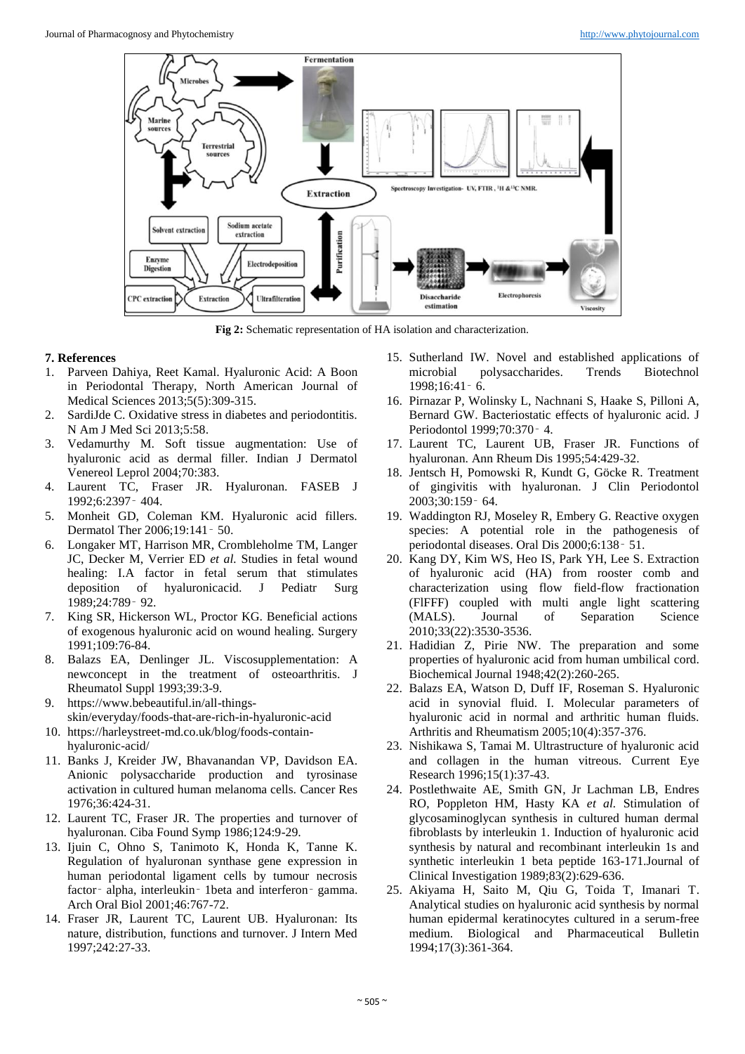

**Fig 2:** Schematic representation of HA isolation and characterization.

#### **7. References**

- 1. Parveen Dahiya, Reet Kamal. Hyaluronic Acid: A Boon in Periodontal Therapy, North American Journal of Medical Sciences 2013;5(5):309-315.
- 2. SardiJde C. Oxidative stress in diabetes and periodontitis. N Am J Med Sci 2013;5:58.
- 3. Vedamurthy M. Soft tissue augmentation: Use of hyaluronic acid as dermal filler. Indian J Dermatol Venereol Leprol 2004;70:383.
- 4. Laurent TC, Fraser JR. Hyaluronan. FASEB J 1992;6:2397‑ 404.
- 5. Monheit GD, Coleman KM. Hyaluronic acid fillers. Dermatol Ther 2006;19:141‑ 50.
- 6. Longaker MT, Harrison MR, Crombleholme TM, Langer JC, Decker M, Verrier ED *et al.* Studies in fetal wound healing: I.A factor in fetal serum that stimulates deposition of hyaluronicacid. J Pediatr Surg 1989;24:789‑ 92.
- 7. King SR, Hickerson WL, Proctor KG. Beneficial actions of exogenous hyaluronic acid on wound healing. Surgery 1991;109:76-84.
- 8. Balazs EA, Denlinger JL. Viscosupplementation: A newconcept in the treatment of osteoarthritis. J Rheumatol Suppl 1993;39:3-9.
- 9. https://www.bebeautiful.in/all-thingsskin/everyday/foods-that-are-rich-in-hyaluronic-acid
- 10. https://harleystreet-md.co.uk/blog/foods-containhyaluronic-acid/
- 11. Banks J, Kreider JW, Bhavanandan VP, Davidson EA. Anionic polysaccharide production and tyrosinase activation in cultured human melanoma cells. Cancer Res 1976;36:424-31.
- 12. Laurent TC, Fraser JR. The properties and turnover of hyaluronan. Ciba Found Symp 1986;124:9-29.
- 13. Ijuin C, Ohno S, Tanimoto K, Honda K, Tanne K. Regulation of hyaluronan synthase gene expression in human periodontal ligament cells by tumour necrosis factor‑ alpha, interleukin‑ 1beta and interferon‑ gamma. Arch Oral Biol 2001;46:767-72.
- 14. Fraser JR, Laurent TC, Laurent UB. Hyaluronan: Its nature, distribution, functions and turnover. J Intern Med 1997;242:27-33.
- 15. Sutherland IW. Novel and established applications of microbial polysaccharides. Trends Biotechnol 1998;16:41‑ 6.
- 16. Pirnazar P, Wolinsky L, Nachnani S, Haake S, Pilloni A, Bernard GW. Bacteriostatic effects of hyaluronic acid. J Periodontol 1999;70:370‑ 4.
- 17. Laurent TC, Laurent UB, Fraser JR. Functions of hyaluronan. Ann Rheum Dis 1995;54:429-32.
- 18. Jentsch H, Pomowski R, Kundt G, Göcke R. Treatment of gingivitis with hyaluronan. J Clin Periodontol 2003;30:159‑ 64.
- 19. Waddington RJ, Moseley R, Embery G. Reactive oxygen species: A potential role in the pathogenesis of periodontal diseases. Oral Dis 2000;6:138‑ 51.
- 20. Kang DY, Kim WS, Heo IS, Park YH, Lee S. Extraction of hyaluronic acid (HA) from rooster comb and characterization using flow field-flow fractionation (FlFFF) coupled with multi angle light scattering (MALS). Journal of Separation Science 2010;33(22):3530-3536.
- 21. Hadidian Z, Pirie NW. The preparation and some properties of hyaluronic acid from human umbilical cord. Biochemical Journal 1948;42(2):260-265.
- 22. Balazs EA, Watson D, Duff IF, Roseman S. Hyaluronic acid in synovial fluid. I. Molecular parameters of hyaluronic acid in normal and arthritic human fluids. Arthritis and Rheumatism 2005;10(4):357-376.
- 23. Nishikawa S, Tamai M. Ultrastructure of hyaluronic acid and collagen in the human vitreous. Current Eye Research 1996;15(1):37-43.
- 24. Postlethwaite AE, Smith GN, Jr Lachman LB, Endres RO, Poppleton HM, Hasty KA *et al.* Stimulation of glycosaminoglycan synthesis in cultured human dermal fibroblasts by interleukin 1. Induction of hyaluronic acid synthesis by natural and recombinant interleukin 1s and synthetic interleukin 1 beta peptide 163-171.Journal of Clinical Investigation 1989;83(2):629-636.
- 25. Akiyama H, Saito M, Qiu G, Toida T, Imanari T. Analytical studies on hyaluronic acid synthesis by normal human epidermal keratinocytes cultured in a serum-free medium. Biological and Pharmaceutical Bulletin 1994;17(3):361-364.